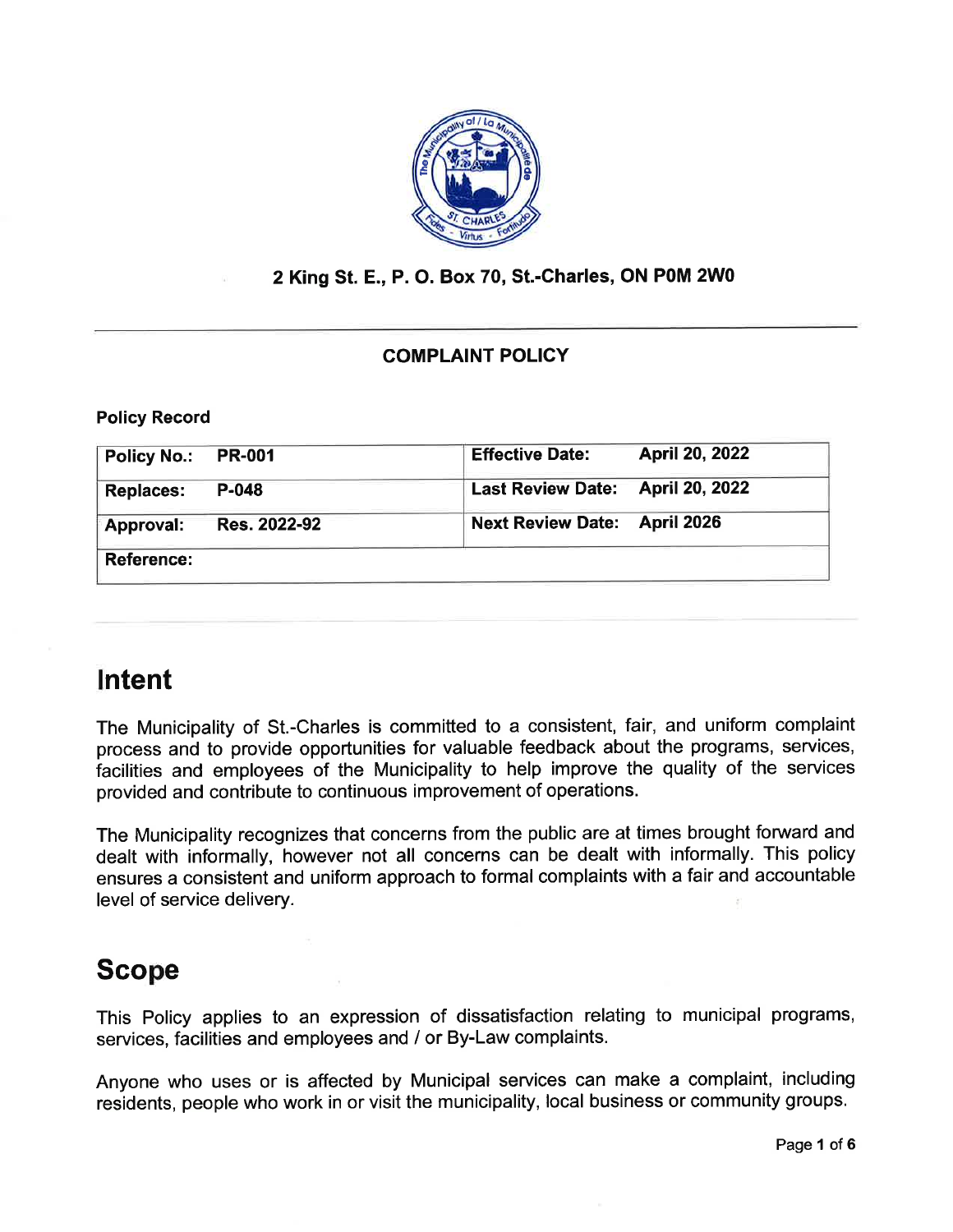

### 2 King St. E., P. O. Box 70, St.-Charles, ON POM 2W0

### COMPLAINT POLIGY

Policy Record

| <b>Policy No.:</b> | <b>PR-001</b> | <b>Effective Date:</b>           | <b>April 20, 2022</b> |
|--------------------|---------------|----------------------------------|-----------------------|
| <b>Replaces:</b>   | P-048         | Last Review Date: April 20, 2022 |                       |
| <b>Approval:</b>   | Res. 2022-92  | <b>Next Review Date:</b>         | April 2026            |
| <b>Reference:</b>  |               |                                  |                       |

# Intent

The Municipality of St.-Charles is committed to a consistent, fair, and uniform complaint process and to provide opportunities for valuable feedback about the programs, services, facilities and employees of the Municipality to help improve the quality of the services provided and contribute to continuous improvement of operations.

The Municipality recognizes that concerns from the public are at times brought forward and dealt with informally, however not all concerns can be dealt with informally. This policy ensures a consistent and uniform approach to formal complaints with a fair and accountable level of service delivery.

# Scope

This Policy applies to an expression of dissatisfaction relating to municipal programs, services, facilities and employees and / or By-Law complaints.

Anyone who uses or is affected by Municipal services can make a complaint, including residents, people who work in or visit the municipality, local business or community groups.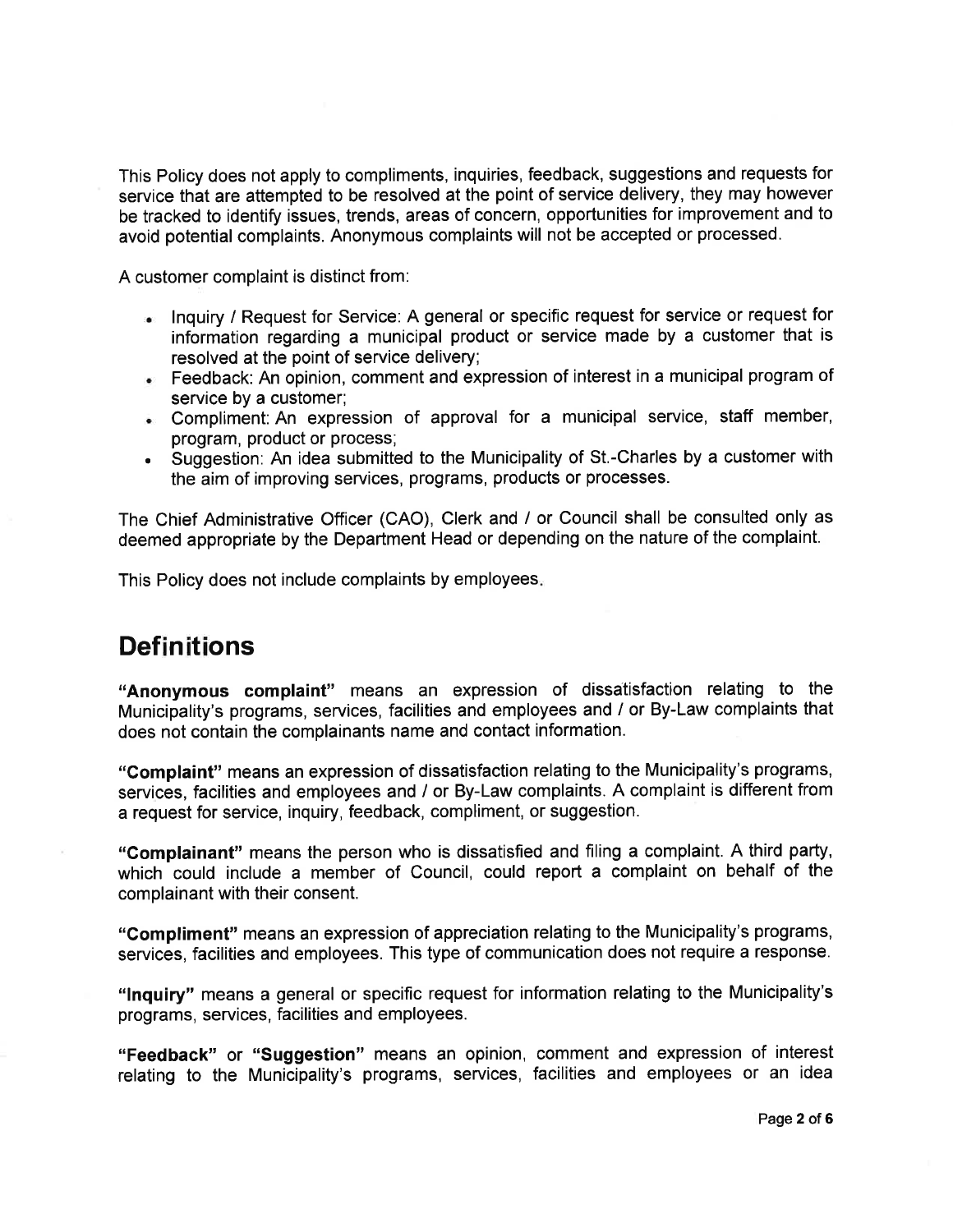This Policy does not apply to compliments, inquiries, feedback, suggestions and requests for service that are attempted to be resolved at the point of service delivery, they may however be tracked to identify issues, trends, areas of concern, opportunities for improvement and to avoid potential complaints. Anonymous complaints will not be accepted or processed.

A customer complaint is distinct from:

- . lnquiry / Request for Service: A general or specific request for service or request for information regarding a municipal product or service made by a customer that is resolved at the point of service delivery;
- . Feedback: An opinion, comment and expression of interest in a municipal program of service by a customer;
- . Compliment: An expression of approval for a municipal service, staff member, program, product or process;
- . Suggestion: An idea submitted to the Municipality of St.-Charles by a customer with the aim of improving services, programs, products or processes.

The Chief Administrative Officer (CAO), Clerk and / or Council shall be consulted only as deemed appropriate by the Department Head or depending on the nature of the complaint.

This Policy does not include complaints by employees

## **Definitions**

"Anonymous complaint" means an expression of dissatisfaction relating to the Municipality's programs, services, facilities and employees and / or By-Law complaints that does not contain the complainants name and contact information.

"Complaint" means an expression of dissatisfaction relating to the Municipality's programs, services, facilities and employees and / or By-Law complaints. A complaint is different from a request for service, inquiry, feedback, compliment, or suggestion.

"Gomplainant" means the person who is dissatisfied and filing a complaint. A third party, which could include a member of Council, could report a complaint on behalf of the complainant with their consent.

"Compliment" means an expression of appreciation relating to the Municipality's programs, seryices, facilities and employees. This type of communication does not require a response.

"lnquiry" means a general or specific request for information relating to the Municipality's programs, services, facilities and employees.

"Feedback" or "suggestion" means an opinion, comment and expression of interest relating to the Municipality's programs, services, facilities and employees or an idea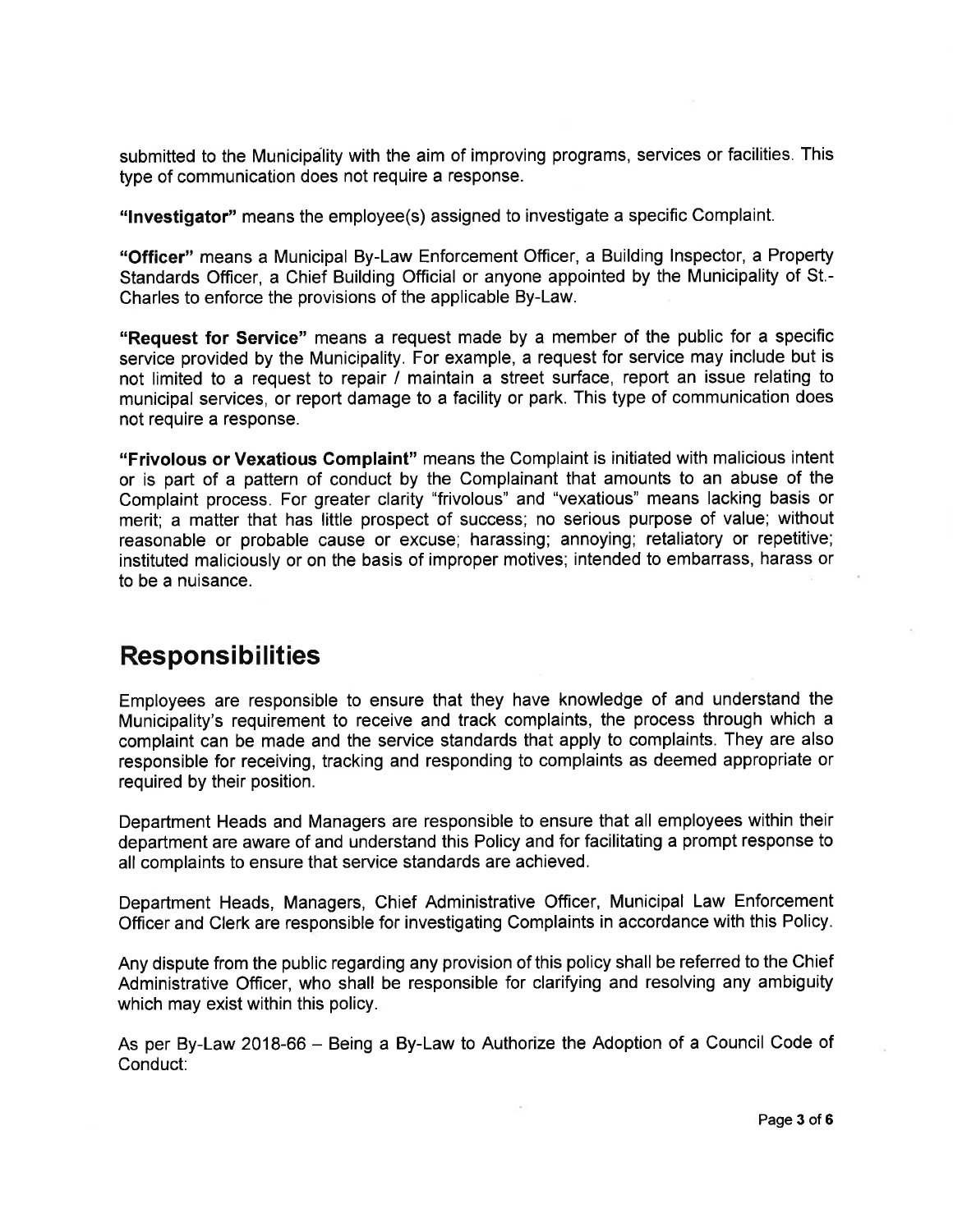submitted to the Municipality with the aim of improving programs, services or facilities. This type of communication does not require a response.

"lnvestigator" means the employee(s) assigned to investigate a specific Complaint.

"Officer" means a Municipal By-Law Enforcement Officer, a Building lnspector, a Property Standards Officer, a Chief Building Official or anyone appointed by the Municipality of St.- Charles to enforce the provisions of the applicable By-Law.

"Request for Service" means a request made by a member of the public for a specific service provided by the Municipality. For example, a request for service may include but is not limited to a request to repair / maintain a street surface, report an issue relating to municipal services, or report damage to a facility or park. This type of communication does not require a response.

"Frivolous or Vexatious Complaint" means the Complaint is initiated with malicious intent or is part of a pattern of conduct by the Complainant that amounts to an abuse of the Complaint process. For greater clarity "frivolous" and "vexatious" means lacking basis or merit; a matter that has little prospect of success; no serious purpose of value; without reasonable or probable cause or excuse; harassing; annoying; retaliatory or repetitive; instituted maliciously or on the basis of improper motives; intended to embarrass, harass or to be a nuisance.

## Responsibilities

Employees are responsible to ensure that they have knowledge of and understand the Municipality's requirement to receive and track complaints, the process through which a complaint can be made and the service standards that apply to complaints. They are also responsible for receiving, tracking and responding to complaints as deemed appropriate or required by their position.

Department Heads and Managers are responsible to ensure that all employees within their department are aware of and understand this Policy and for facilitating a prompt response to all complaints to ensure that service standards are achieved.

Department Heads, Managers, Chief Administrative Officer, Municipal Law Enforcement Officer and Clerk are responsible for investigating Complaints in accordance with this Policy.

Any dispute from the public regarding any provision of this policy shall be referred to the Chief Administrative Officer, who shall be responsible for clarifying and resolving any ambiguity which may exist within this policy.

As per By-Law 2018-66 - Being a By-Law to Authorize the Adoption of a Council Code of Conduct: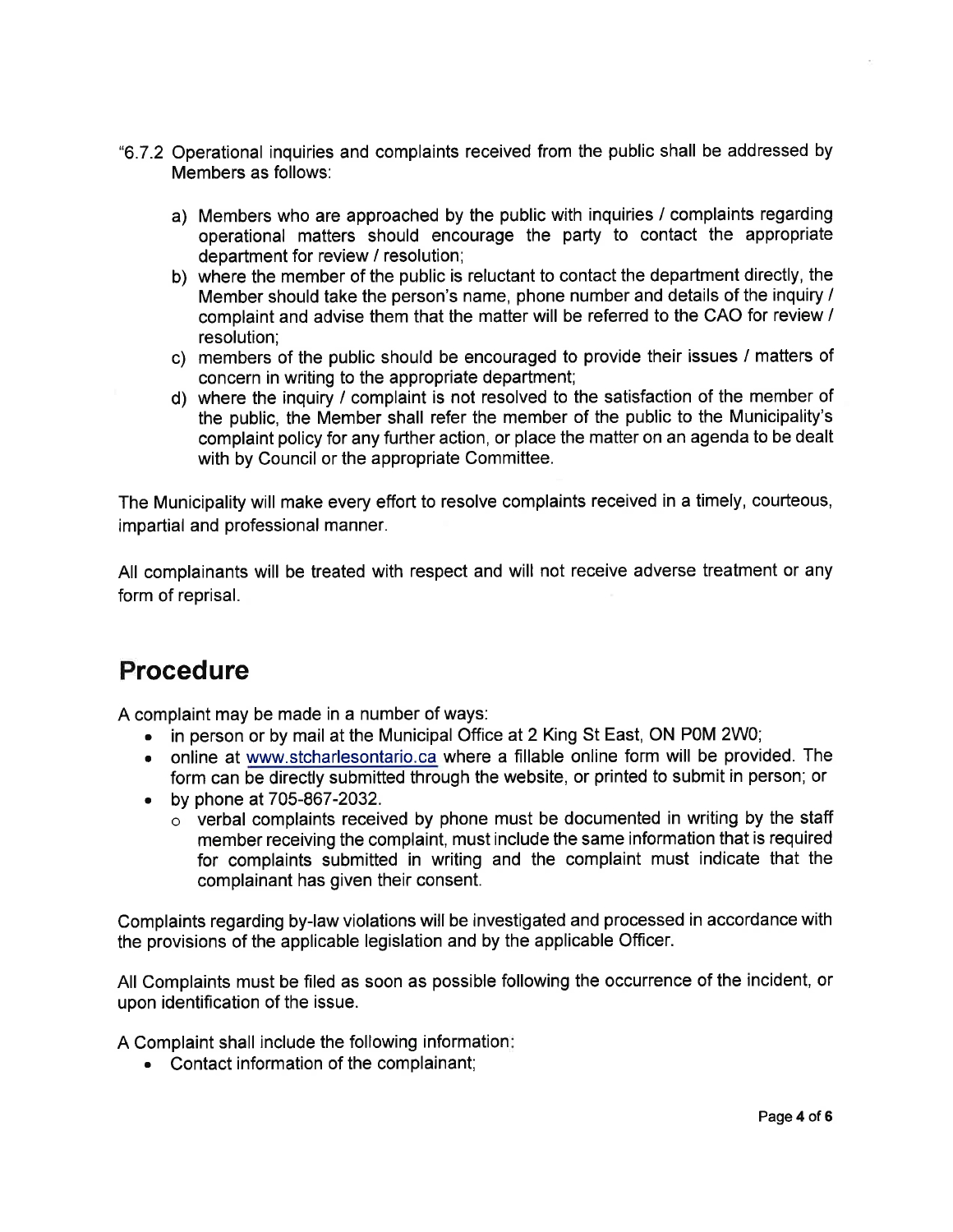- "6.7.2 Operational inquiries and complaints received from the public shall be addressed by Members as follows:
	- a) Members who are approached by the public with inquiries / complaints regarding operational matters should encourage the party to contact the appropriate department for review / resolution;
	- b) where the member of the public is reluctant to contact the department directly, the Member should take the person's name, phone number and details of the inquiry / complaint and advise them that the matter will be referred to the CAO for review / resolution;
	- c) members of the public should be encouraged to provide their issues / matters of concern in writing to the appropriate department;
	- d) where the inquiry / complaint is not resolved to the satisfaction of the member of the public, the Member shall refer the member of the public to the Municipality's complaint policy for any further action, or place the matter on an agenda to be dealt with by Council or the appropriate Committee.

The Municipality will make every effort to resolve complaints received in a timely, courteous, impartial and professional manner.

All complainants will be treated with respect and will not receive adverse treatment or any form of reprisal.

# Procedure

A complaint may be made in a number of ways:

- in person or by mail at the Municipal Office at 2 King St East, ON P0M 2W0;
- . online at www.stcharlesontario.ca where a flllable online form will be provided. The form can be directly submitted through the website, or printed to submit in person; or
- . by phone at 705-867-2032.
	- $\circ$  verbal complaints received by phone must be documented in writing by the staff member receiving the complaint, must include the same information that is required for complaints submitted in writing and the complaint must indicate that the complainant has given their consent.

Complaints regarding by-law violations will be investigated and processed in accordance with the provisions of the applicable legislation and by the applicable Officer.

All Complaints must be filed as soon as possible following the occurrence of the incident, or upon identification of the issue.

A Complaint shall include the following information

. Contact information of the complainant;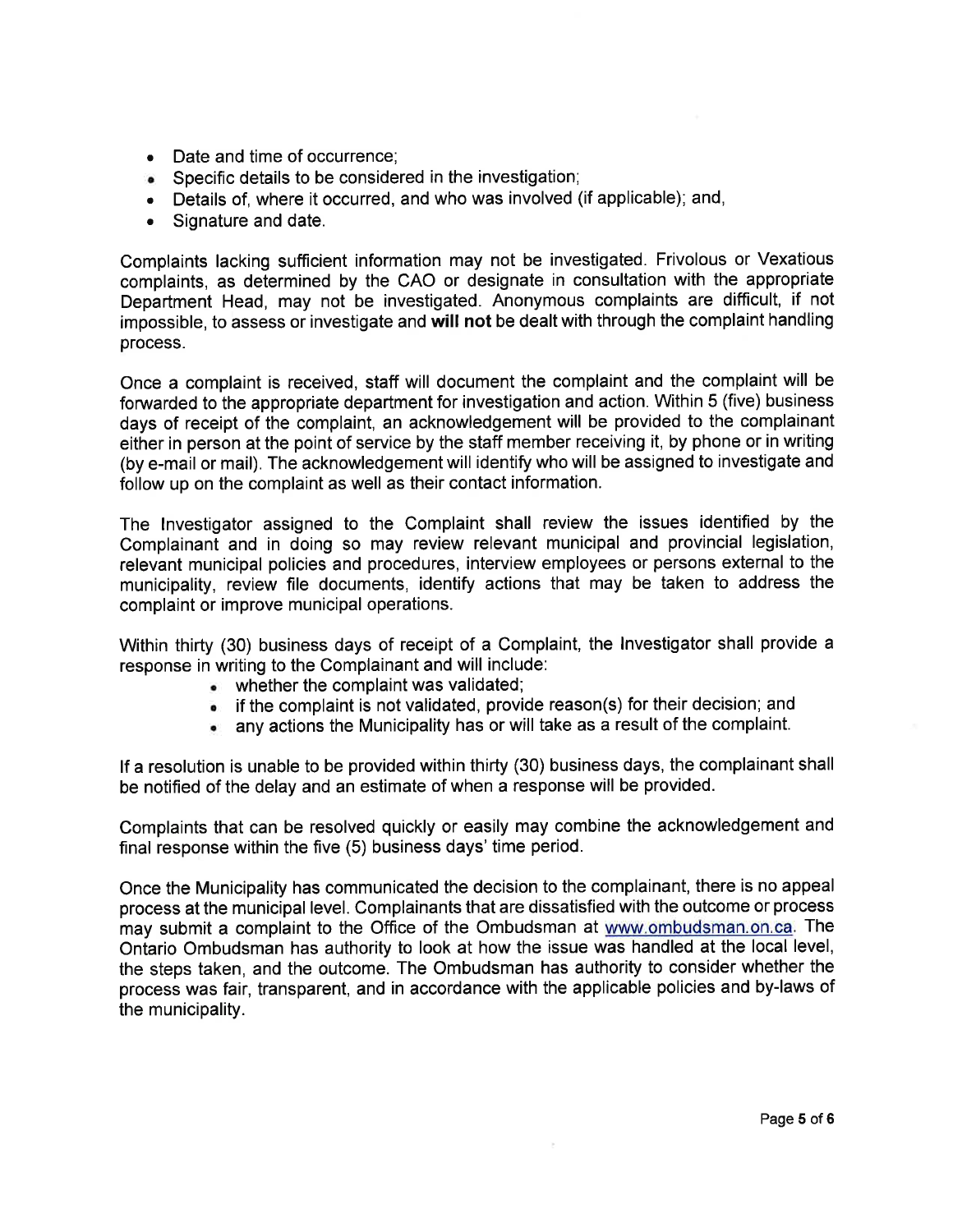- Date and time of occurrence:
- . Specific details to be considered in the investigation;
- . Details of, where it occurred, and who was involved (if applicable); and,
- . Signature and date.

Complaints lacking sufficient information may not be investigated. Frivolous or Vexatious complaints, as determined by the CAO or designate in consultation with the appropriate Department Head, may not be investigated. Anonymous complaints are difficult, if not impossible, to assess or investigate and will not be dealt with through the complaint handling process.

Once a complaint is received, staff will document the complaint and the complaint will be forwarded to the appropriate department for investigation and action. Within 5 (five) business days of receipt of the complaint, an acknowledgement will be provided to the complainant either in person at the point of service by the staff member receiving it, by phone or in writing (by e-mail or mail). The acknowledgement will identify who will be assigned to investigate and follow up on the complaint as well as their contact information.

The lnvestigator assigned to the Complaint shall review the issues identified by the Complainant and in doing so may review relevant municipal and provincial legislation, relevant municipal policies and procedures, interview employees or persons external to the municipality, review file documents, identify actions that may be taken to address the complaint or improve municipal operations.

Within thirty (30) business days of receipt of a Complaint, the lnvestigator shall provide <sup>a</sup> response in writing to the Complainant and will include:

- $\bullet$  whether the complaint was validated;
- . if the complaint is not validated, provide reason(s) for their decision; and
- $\bullet$  any actions the Municipality has or will take as a result of the complaint.

lf a resolution is unable to be provided within thirty (30) business days, the complainant shall be notifled of the delay and an estimate of when a response will be provided.

Complaints that can be resolved quickly or easily may combine the acknowledgement and final response within the five (5) business days' time period.

Once the Municipality has communicated the decision to the complainant, there is no appeal process at the municipal level. Complainants that are dissatisfied with the outcome or process may submit a complaint to the Office of the Ombudsman at www.ombudsman.on.ca. The Ontario Ombudsman has authority to look at how the issue was handled at the local level, the steps taken, and the outcome. The Ombudsman has authority to consider whether the process was fair, transparent, and in accordance with the applicable policies and by-laws of the municipality.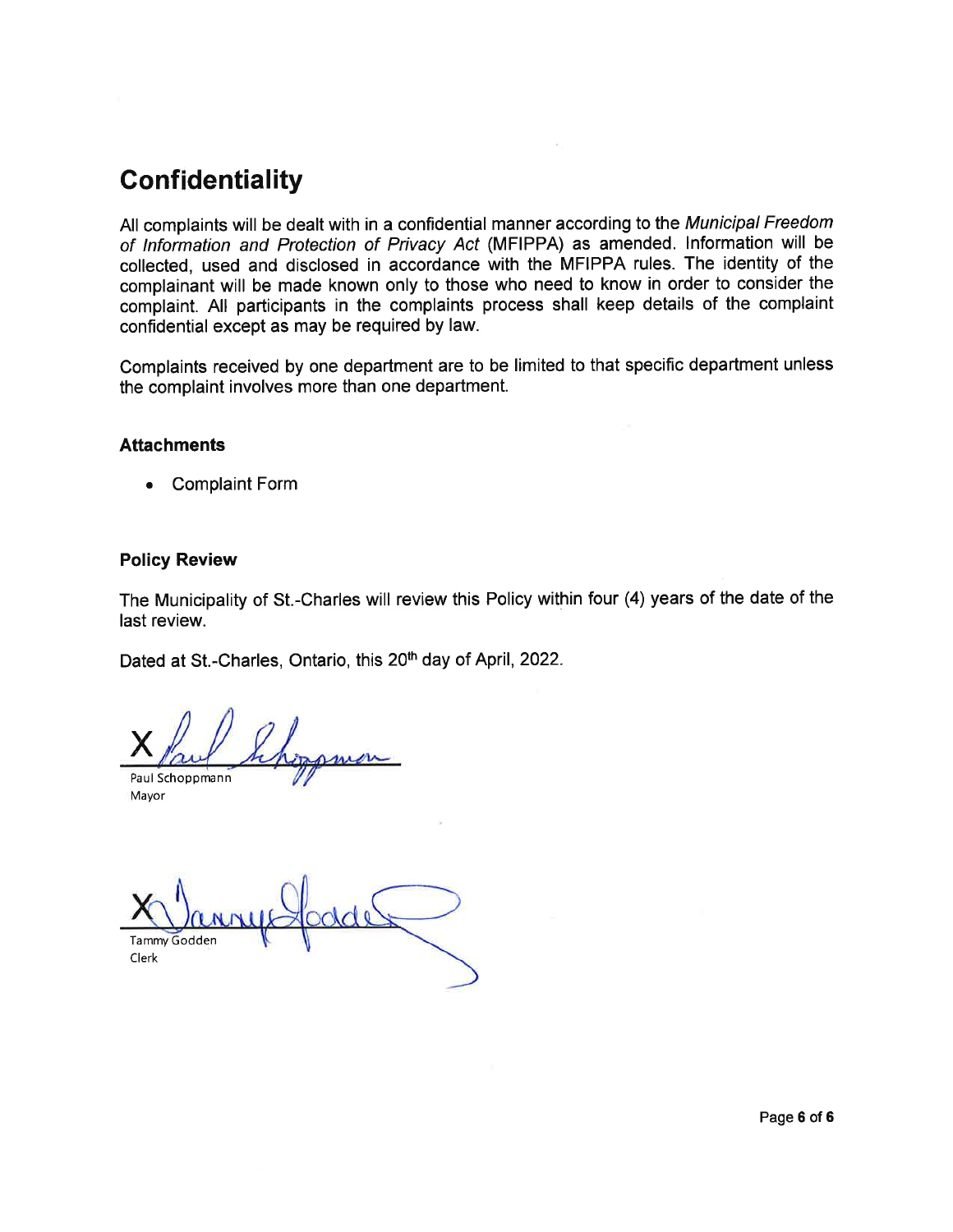# Confidentiality

All complaints will be dealt with in a confidential manner according to the Municipal Freedom of lnformation and Protection of Privacy Acf (MFIPPA) as amended. lnformation will be collected, used and disclosed in accordance with the MFIPPA rules. The identity of the complainant will be made known only to those who need to know in order to consider the complaint. All participants in the complaints process shall keep details of the complaint confidential except as may be required by law.

Complaints received by one department are to be limited to that specific department unless the complaint involves more than one department.

#### **Attachments**

. Complaint Form

#### Policy Review

The Municipality of St.-Charles will review this Policy within four (4) years of the date of the last review.

Dated at St.-Charles, Ontario, this 20<sup>th</sup> day of April, 2022.

X Paul Schoppmann

Mayor

Tammy Godden Clerk